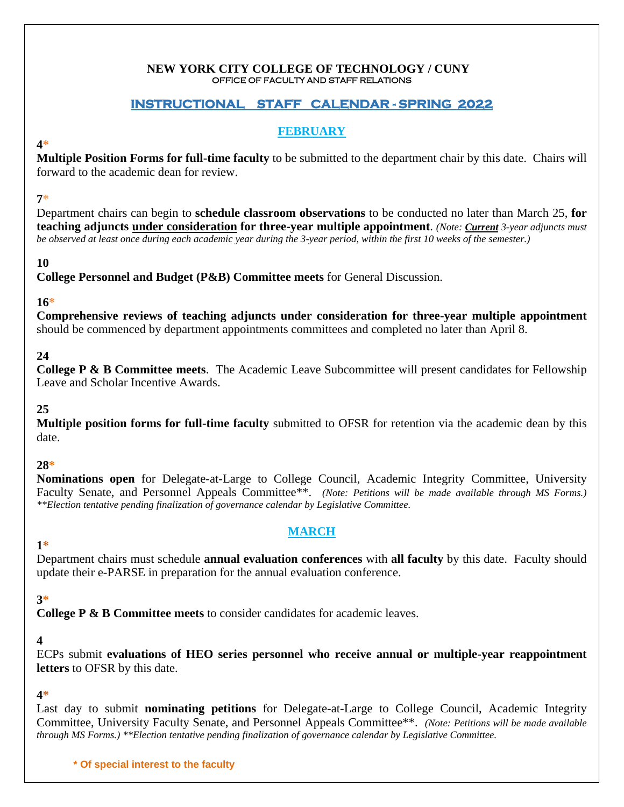#### **NEW YORK CITY COLLEGE OF TECHNOLOGY / CUNY** OFFICE OF FACULTY AND STAFF RELATIONS

## **INSTRUCTIONAL STAFF CALENDAR - SPRING 2022**

## **FEBRUARY**

### **4\***

**Multiple Position Forms for full-time faculty** to be submitted to the department chair by this date. Chairs will forward to the academic dean for review.

## **7\***

Department chairs can begin to **schedule classroom observations** to be conducted no later than March 25, **for teaching adjuncts under consideration for three-year multiple appointment**. *(Note: Current 3-year adjuncts must be observed at least once during each academic year during the 3-year period, within the first 10 weeks of the semester.)*

## **10**

**College Personnel and Budget (P&B) Committee meets** for General Discussion.

## **16\***

**Comprehensive reviews of teaching adjuncts under consideration for three-year multiple appointment** should be commenced by department appointments committees and completed no later than April 8.

## **24**

**College P & B Committee meets**. The Academic Leave Subcommittee will present candidates for Fellowship Leave and Scholar Incentive Awards.

## **25**

**Multiple position forms for full-time faculty** submitted to OFSR for retention via the academic dean by this date.

### **28\***

**Nominations open** for Delegate-at-Large to College Council, Academic Integrity Committee, University Faculty Senate, and Personnel Appeals Committee\*\*. *(Note: Petitions will be made available through MS Forms.) \*\*Election tentative pending finalization of governance calendar by Legislative Committee.*

## **MARCH**

#### **1\*** Department chairs must schedule **annual evaluation conferences** with **all faculty** by this date. Faculty should update their e-PARSE in preparation for the annual evaluation conference.

### **3\***

**College P & B Committee meets** to consider candidates for academic leaves.

### **4**

ECPs submit **evaluations of HEO series personnel who receive annual or multiple-year reappointment letters** to OFSR by this date.

### **4\***

Last day to submit **nominating petitions** for Delegate-at-Large to College Council, Academic Integrity Committee, University Faculty Senate, and Personnel Appeals Committee\*\*. *(Note: Petitions will be made available through MS Forms.) \*\*Election tentative pending finalization of governance calendar by Legislative Committee.*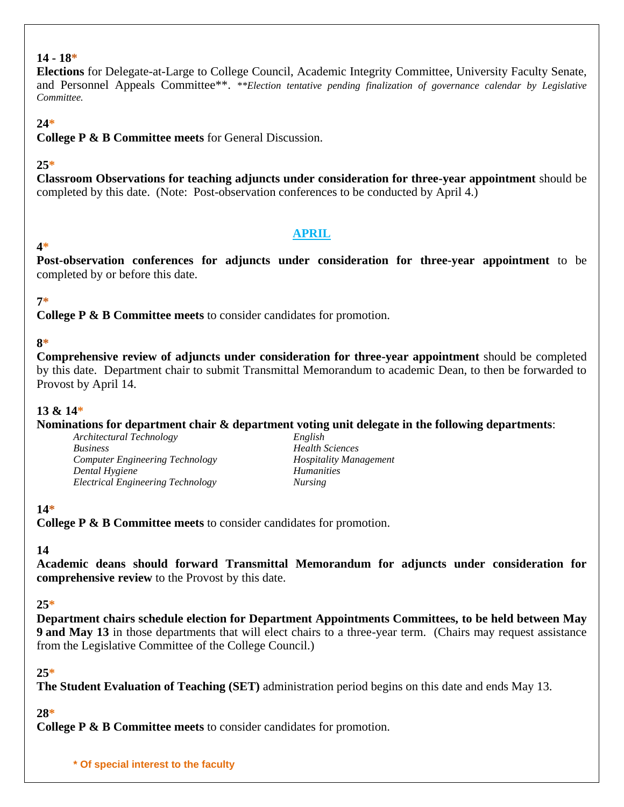#### **14 - 18\***

**Elections** for Delegate-at-Large to College Council, Academic Integrity Committee, University Faculty Senate, and Personnel Appeals Committee\*\*. *\*\*Election tentative pending finalization of governance calendar by Legislative Committee.*

#### **24\***

**College P & B Committee meets** for General Discussion.

#### **25\***

**Classroom Observations for teaching adjuncts under consideration for three-year appointment** should be completed by this date. (Note: Post-observation conferences to be conducted by April 4.)

#### **APRIL**

## **4\***

**Post-observation conferences for adjuncts under consideration for three-year appointment** to be completed by or before this date.

### **7\***

**College P & B Committee meets** to consider candidates for promotion.

### **8\***

**Comprehensive review of adjuncts under consideration for three-year appointment** should be completed by this date. Department chair to submit Transmittal Memorandum to academic Dean, to then be forwarded to Provost by April 14.

#### **13 & 14\***

**Nominations for department chair & department voting unit delegate in the following departments**:

*Architectural Technology Business Health Sciences Computer Engineering Technology Hospitality Management Dental Hygiene Humanities Electrical Engineering Technology Nursing*

## **14\***

**College P & B Committee meets** to consider candidates for promotion.

#### **14**

**Academic deans should forward Transmittal Memorandum for adjuncts under consideration for comprehensive review** to the Provost by this date.

### **25\***

**Department chairs schedule election for Department Appointments Committees, to be held between May 9 and May 13** in those departments that will elect chairs to a three-year term. (Chairs may request assistance from the Legislative Committee of the College Council.)

#### **25\***

**The Student Evaluation of Teaching (SET)** administration period begins on this date and ends May 13.

### **28\***

**College P & B Committee meets** to consider candidates for promotion.

**\* Of special interest to the faculty**